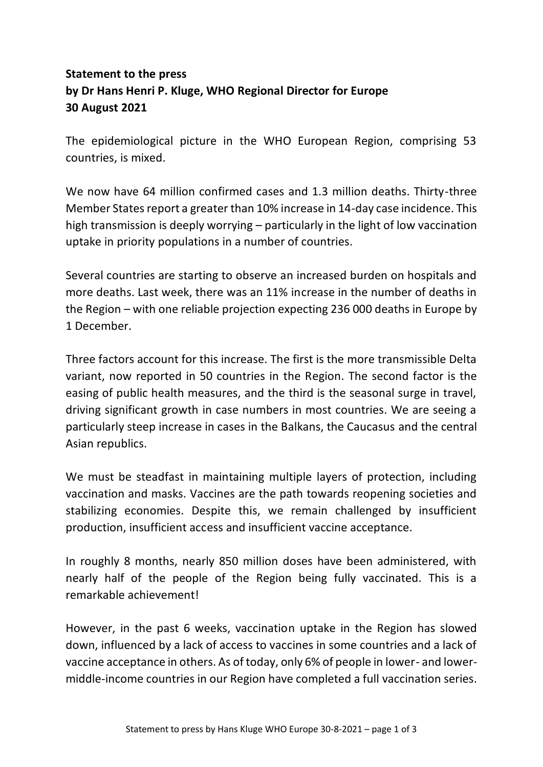## **Statement to the press by Dr Hans Henri P. Kluge, WHO Regional Director for Europe 30 August 2021**

The epidemiological picture in the WHO European Region, comprising 53 countries, is mixed.

We now have 64 million confirmed cases and 1.3 million deaths. Thirty-three Member States report a greater than 10% increase in 14-day case incidence. This high transmission is deeply worrying – particularly in the light of low vaccination uptake in priority populations in a number of countries.

Several countries are starting to observe an increased burden on hospitals and more deaths. Last week, there was an 11% increase in the number of deaths in the Region – with one reliable projection expecting 236 000 deaths in Europe by 1 December.

Three factors account for this increase. The first is the more transmissible Delta variant, now reported in 50 countries in the Region. The second factor is the easing of public health measures, and the third is the seasonal surge in travel, driving significant growth in case numbers in most countries. We are seeing a particularly steep increase in cases in the Balkans, the Caucasus and the central Asian republics.

We must be steadfast in maintaining multiple layers of protection, including vaccination and masks. Vaccines are the path towards reopening societies and stabilizing economies. Despite this, we remain challenged by insufficient production, insufficient access and insufficient vaccine acceptance.

In roughly 8 months, nearly 850 million doses have been administered, with nearly half of the people of the Region being fully vaccinated. This is a remarkable achievement!

However, in the past 6 weeks, vaccination uptake in the Region has slowed down, influenced by a lack of access to vaccines in some countries and a lack of vaccine acceptance in others. As of today, only 6% of people in lower- and lowermiddle-income countries in our Region have completed a full vaccination series.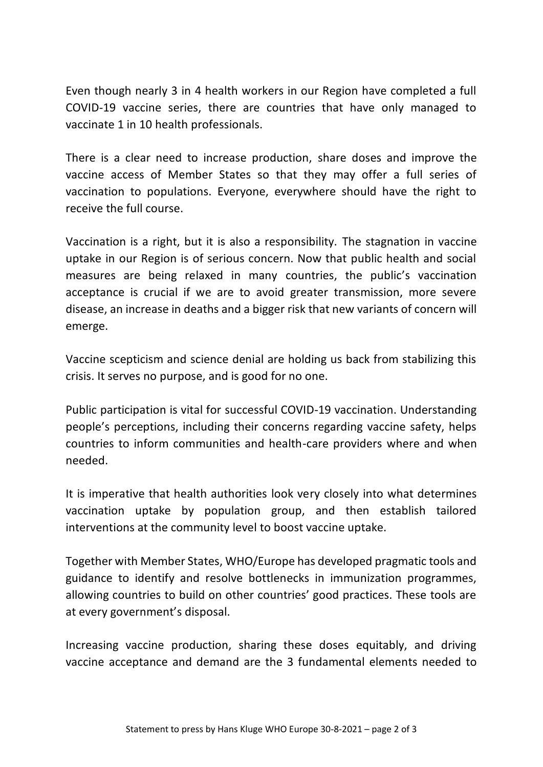Even though nearly 3 in 4 health workers in our Region have completed a full COVID-19 vaccine series, there are countries that have only managed to vaccinate 1 in 10 health professionals.

There is a clear need to increase production, share doses and improve the vaccine access of Member States so that they may offer a full series of vaccination to populations. Everyone, everywhere should have the right to receive the full course.

Vaccination is a right, but it is also a responsibility. The stagnation in vaccine uptake in our Region is of serious concern. Now that public health and social measures are being relaxed in many countries, the public's vaccination acceptance is crucial if we are to avoid greater transmission, more severe disease, an increase in deaths and a bigger risk that new variants of concern will emerge.

Vaccine scepticism and science denial are holding us back from stabilizing this crisis. It serves no purpose, and is good for no one.

Public participation is vital for successful COVID-19 vaccination. Understanding people's perceptions, including their concerns regarding vaccine safety, helps countries to inform communities and health-care providers where and when needed.

It is imperative that health authorities look very closely into what determines vaccination uptake by population group, and then establish tailored interventions at the community level to boost vaccine uptake.

Together with Member States, WHO/Europe has developed pragmatic tools and guidance to identify and resolve bottlenecks in immunization programmes, allowing countries to build on other countries' good practices. These tools are at every government's disposal.

Increasing vaccine production, sharing these doses equitably, and driving vaccine acceptance and demand are the 3 fundamental elements needed to